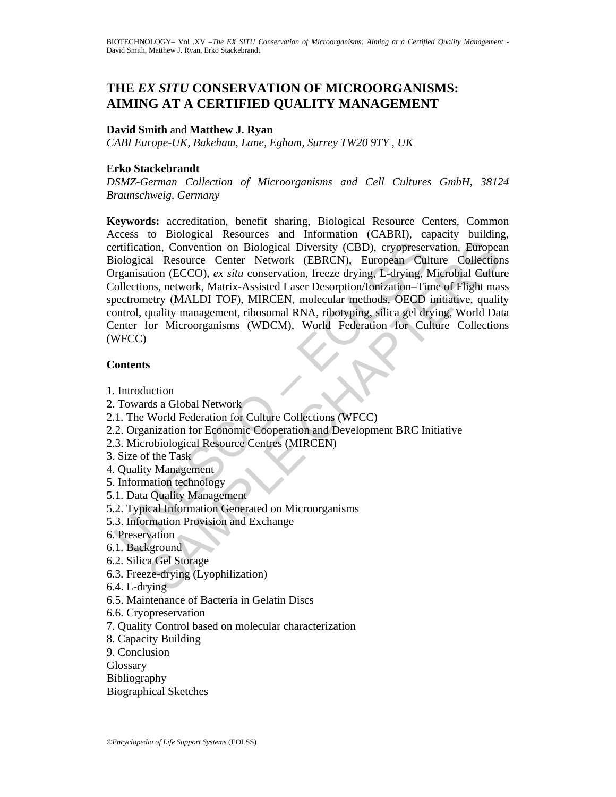## **THE** *EX SITU* **CONSERVATION OF MICROORGANISMS: AIMING AT A CERTIFIED QUALITY MANAGEMENT**

#### **David Smith** and **Matthew J. Ryan**

*CABI Europe-UK, Bakeham, Lane, Egham, Surrey TW20 9TY , UK* 

### **Erko Stackebrandt**

*DSMZ-German Collection of Microorganisms and Cell Cultures GmbH, 38124 Braunschweig, Germany* 

relification, Convention on Biological Diversity (CBD), cryoppeser<br>iological Resource Center Network (EBRCN), European Cul<br>regnaisation (ECCO), ex stitu conservation, freeze drying, L-drying, A<br>plalections, network, Matrix ion, Convention on Biological Diversity (CBD), cryopreservation, Europea<br>
al Resource Center Network (EBRCN), European Culture Collection<br>
identication (ECCO), *ex situs* conservation, freeze drying, L-drying, Microbial Cu **Keywords:** accreditation, benefit sharing, Biological Resource Centers, Common Access to Biological Resources and Information (CABRI), capacity building, certification, Convention on Biological Diversity (CBD), cryopreservation, European Biological Resource Center Network (EBRCN), European Culture Collections Organisation (ECCO), *ex situ* conservation, freeze drying, L-drying, Microbial Culture Collections, network, Matrix-Assisted Laser Desorption/Ionization–Time of Flight mass spectrometry (MALDI TOF), MIRCEN, molecular methods, OECD initiative, quality control, quality management, ribosomal RNA, ribotyping, silica gel drying, World Data Center for Microorganisms (WDCM), World Federation for Culture Collections (WFCC)

#### **Contents**

- 1. Introduction
- 2. Towards a Global Network
- 2.1. The World Federation for Culture Collections (WFCC)
- 2.2. Organization for Economic Cooperation and Development BRC Initiative
- 2.3. Microbiological Resource Centres (MIRCEN)
- 3. Size of the Task
- 4. Quality Management
- 5. Information technology
- 5.1. Data Quality Management
- 5.2. Typical Information Generated on Microorganisms
- 5.3. Information Provision and Exchange
- 6. Preservation
- 6.1. Background
- 6.2. Silica Gel Storage
- 6.3. Freeze-drying (Lyophilization)
- 6.4. L-drying
- 6.5. Maintenance of Bacteria in Gelatin Discs
- 6.6. Cryopreservation
- 7. Quality Control based on molecular characterization
- 8. Capacity Building
- 9. Conclusion
- **Glossary**
- Bibliography
- Biographical Sketches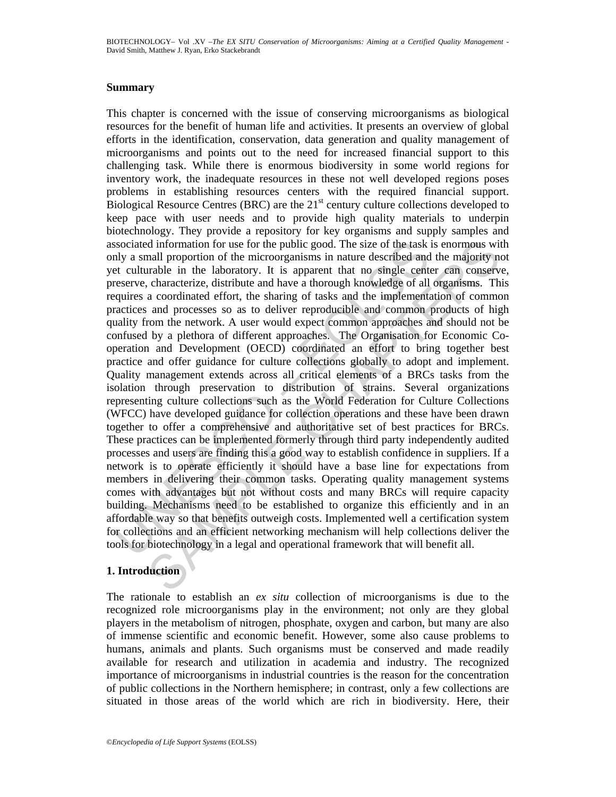#### **Summary**

sociated information for use for the public good. The size of the task<br>nly a small proportion of the microorganisms in nature described and<br>et culturable in the laboratory. It is apparent that no single center<br>destrective, d information for use for the public good. The size of the task is cnormous wit<br>all proportion of the microorganisms in nature described and the majority neurable<br>in the laboratory. It is apparent that no single center can This chapter is concerned with the issue of conserving microorganisms as biological resources for the benefit of human life and activities. It presents an overview of global efforts in the identification, conservation, data generation and quality management of microorganisms and points out to the need for increased financial support to this challenging task. While there is enormous biodiversity in some world regions for inventory work, the inadequate resources in these not well developed regions poses problems in establishing resources centers with the required financial support. Biological Resource Centres (BRC) are the  $21<sup>st</sup>$  century culture collections developed to keep pace with user needs and to provide high quality materials to underpin biotechnology. They provide a repository for key organisms and supply samples and associated information for use for the public good. The size of the task is enormous with only a small proportion of the microorganisms in nature described and the majority not yet culturable in the laboratory. It is apparent that no single center can conserve, preserve, characterize, distribute and have a thorough knowledge of all organisms. This requires a coordinated effort, the sharing of tasks and the implementation of common practices and processes so as to deliver reproducible and common products of high quality from the network. A user would expect common approaches and should not be confused by a plethora of different approaches. The Organisation for Economic Cooperation and Development (OECD) coordinated an effort to bring together best practice and offer guidance for culture collections globally to adopt and implement. Quality management extends across all critical elements of a BRCs tasks from the isolation through preservation to distribution of strains. Several organizations representing culture collections such as the World Federation for Culture Collections (WFCC) have developed guidance for collection operations and these have been drawn together to offer a comprehensive and authoritative set of best practices for BRCs. These practices can be implemented formerly through third party independently audited processes and users are finding this a good way to establish confidence in suppliers. If a network is to operate efficiently it should have a base line for expectations from members in delivering their common tasks. Operating quality management systems comes with advantages but not without costs and many BRCs will require capacity building. Mechanisms need to be established to organize this efficiently and in an affordable way so that benefits outweigh costs. Implemented well a certification system for collections and an efficient networking mechanism will help collections deliver the tools for biotechnology in a legal and operational framework that will benefit all.

## **1. Introduction**

The rationale to establish an *ex situ* collection of microorganisms is due to the recognized role microorganisms play in the environment; not only are they global players in the metabolism of nitrogen, phosphate, oxygen and carbon, but many are also of immense scientific and economic benefit. However, some also cause problems to humans, animals and plants. Such organisms must be conserved and made readily available for research and utilization in academia and industry. The recognized importance of microorganisms in industrial countries is the reason for the concentration of public collections in the Northern hemisphere; in contrast, only a few collections are situated in those areas of the world which are rich in biodiversity. Here, their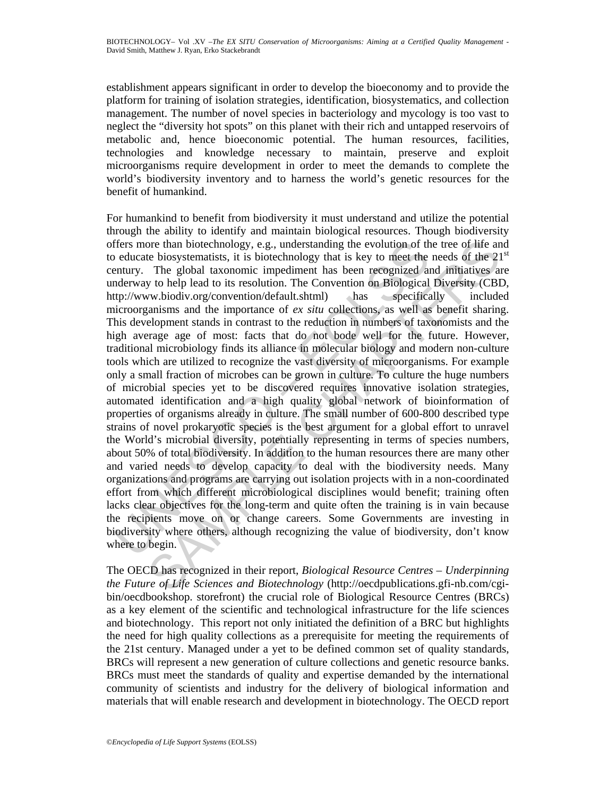establishment appears significant in order to develop the bioeconomy and to provide the platform for training of isolation strategies, identification, biosystematics, and collection management. The number of novel species in bacteriology and mycology is too vast to neglect the "diversity hot spots" on this planet with their rich and untapped reservoirs of metabolic and, hence bioeconomic potential. The human resources, facilities, technologies and knowledge necessary to maintain, preserve and exploit microorganisms require development in order to meet the demands to complete the world's biodiversity inventory and to harness the world's genetic resources for the benefit of humankind.

ffers more than biotechnology, e.g., understanding the evolution of th<br>educate biosystematists, it is biotechnology that is key to meet the<br>entury. The global taxonomic impediment has been recognized an<br>entury. The global or than biotechnology, e.g., understanding the evolution of the tree of life an biotechnology, e.g., understanding the evolution of the reso f ife 2n The global taxonomic impediment has keen recognized and imitatives any For humankind to benefit from biodiversity it must understand and utilize the potential through the ability to identify and maintain biological resources. Though biodiversity offers more than biotechnology, e.g., understanding the evolution of the tree of life and to educate biosystematists, it is biotechnology that is key to meet the needs of the  $21<sup>st</sup>$ century. The global taxonomic impediment has been recognized and initiatives are underway to help lead to its resolution. The Convention on Biological Diversity (CBD, http://www.biodiv.org/convention/default.shtml) has specifically included microorganisms and the importance of *ex situ* collections, as well as benefit sharing. This development stands in contrast to the reduction in numbers of taxonomists and the high average age of most: facts that do not bode well for the future. However, traditional microbiology finds its alliance in molecular biology and modern non-culture tools which are utilized to recognize the vast diversity of microorganisms. For example only a small fraction of microbes can be grown in culture. To culture the huge numbers of microbial species yet to be discovered requires innovative isolation strategies, automated identification and a high quality global network of bioinformation of properties of organisms already in culture. The small number of 600-800 described type strains of novel prokaryotic species is the best argument for a global effort to unravel the World's microbial diversity, potentially representing in terms of species numbers, about 50% of total biodiversity. In addition to the human resources there are many other and varied needs to develop capacity to deal with the biodiversity needs. Many organizations and programs are carrying out isolation projects with in a non-coordinated effort from which different microbiological disciplines would benefit; training often lacks clear objectives for the long-term and quite often the training is in vain because the recipients move on or change careers. Some Governments are investing in biodiversity where others, although recognizing the value of biodiversity, don't know where to begin.

The OECD has recognized in their report, *Biological Resource Centres – Underpinning the Future of Life Sciences and Biotechnology* (http://oecdpublications.gfi-nb.com/cgibin/oecdbookshop. storefront) the crucial role of Biological Resource Centres (BRCs) as a key element of the scientific and technological infrastructure for the life sciences and biotechnology. This report not only initiated the definition of a BRC but highlights the need for high quality collections as a prerequisite for meeting the requirements of the 21st century. Managed under a yet to be defined common set of quality standards, BRCs will represent a new generation of culture collections and genetic resource banks. BRCs must meet the standards of quality and expertise demanded by the international community of scientists and industry for the delivery of biological information and materials that will enable research and development in biotechnology. The OECD report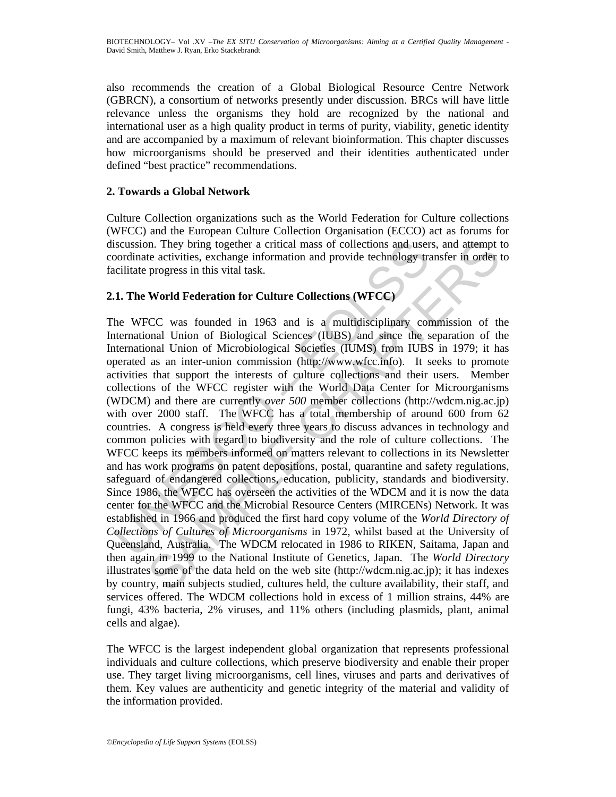also recommends the creation of a Global Biological Resource Centre Network (GBRCN), a consortium of networks presently under discussion. BRCs will have little relevance unless the organisms they hold are recognized by the national and international user as a high quality product in terms of purity, viability, genetic identity and are accompanied by a maximum of relevant bioinformation. This chapter discusses how microorganisms should be preserved and their identities authenticated under defined "best practice" recommendations.

## **2. Towards a Global Network**

Culture Collection organizations such as the World Federation for Culture collections (WFCC) and the European Culture Collection Organisation (ECCO) act as forums for discussion. They bring together a critical mass of collections and users, and attempt to coordinate activities, exchange information and provide technology transfer in order to facilitate progress in this vital task.

## **2.1. The World Federation for Culture Collections (WFCC)**

iscussion. They bring together a critical mass of collections and user<br>oordinate activities, exchange information and provide technology tracilitate progress in this vital task.<br>
1. The World Federation for Culture Collect In. They bring together a critical mass of collections and users, and attempt to teativities, exchange information and provide technology transfer in order progress in this vital task.<br> **World Federation for Culture Colle** The WFCC was founded in 1963 and is a multidisciplinary commission of the International Union of Biological Sciences (IUBS) and since the separation of the International Union of Microbiological Societies (IUMS) from IUBS in 1979; it has operated as an inter-union commission (http://www.wfcc.info). It seeks to promote activities that support the interests of culture collections and their users. Member collections of the WFCC register with the World Data Center for Microorganisms (WDCM) and there are currently *over 500* member collections (http://wdcm.nig.ac.jp) with over 2000 staff. The WFCC has a total membership of around 600 from 62 countries. A congress is held every three years to discuss advances in technology and common policies with regard to biodiversity and the role of culture collections. The WFCC keeps its members informed on matters relevant to collections in its Newsletter and has work programs on patent depositions, postal, quarantine and safety regulations, safeguard of endangered collections, education, publicity, standards and biodiversity. Since 1986, the WFCC has overseen the activities of the WDCM and it is now the data center for the WFCC and the Microbial Resource Centers (MIRCENs) Network. It was established in 1966 and produced the first hard copy volume of the *World Directory of Collections of Cultures of Microorganisms* in 1972, whilst based at the University of Queensland, Australia. The WDCM relocated in 1986 to RIKEN, Saitama, Japan and then again in 1999 to the National Institute of Genetics, Japan. The *World Directory* illustrates some of the data held on the web site (http://wdcm.nig.ac.jp); it has indexes by country, main subjects studied, cultures held, the culture availability, their staff, and services offered. The WDCM collections hold in excess of 1 million strains, 44% are fungi, 43% bacteria, 2% viruses, and 11% others (including plasmids, plant, animal cells and algae).

The WFCC is the largest independent global organization that represents professional individuals and culture collections, which preserve biodiversity and enable their proper use. They target living microorganisms, cell lines, viruses and parts and derivatives of them. Key values are authenticity and genetic integrity of the material and validity of the information provided.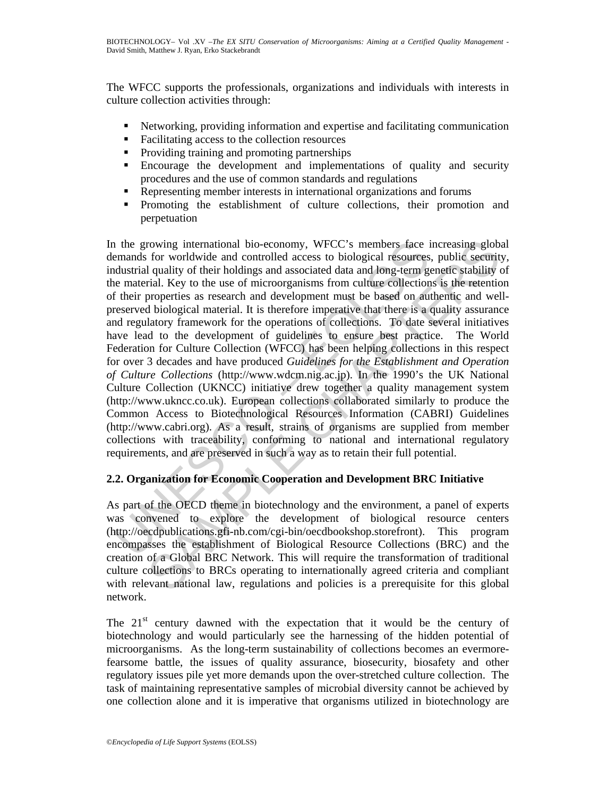The WFCC supports the professionals, organizations and individuals with interests in culture collection activities through:

- Networking, providing information and expertise and facilitating communication
- Facilitating access to the collection resources
- Providing training and promoting partnerships
- Encourage the development and implementations of quality and security procedures and the use of common standards and regulations
- Representing member interests in international organizations and forums
- Promoting the establishment of culture collections, their promotion and perpetuation

1 the growing international bio-economy, WFCC's members face in emands for worldwide and controlled access to biological resources<br>didustrial quality of their holdings and associated data and long-term guard<br>memorial emant rowing international bio-economy, WFCC's members face increasing globs<br>for worldwide and controlled access to biological resources, publie security<br>fall quality of their holdings and associated data and long-term genetic s In the growing international bio-economy, WFCC's members face increasing global demands for worldwide and controlled access to biological resources, public security, industrial quality of their holdings and associated data and long-term genetic stability of the material. Key to the use of microorganisms from culture collections is the retention of their properties as research and development must be based on authentic and wellpreserved biological material. It is therefore imperative that there is a quality assurance and regulatory framework for the operations of collections. To date several initiatives have lead to the development of guidelines to ensure best practice. The World Federation for Culture Collection (WFCC) has been helping collections in this respect for over 3 decades and have produced *Guidelines for the Establishment and Operation of Culture Collections* (http://www.wdcm.nig.ac.jp). In the 1990's the UK National Culture Collection (UKNCC) initiative drew together a quality management system (http://www.ukncc.co.uk). European collections collaborated similarly to produce the Common Access to Biotechnological Resources Information (CABRI) Guidelines (http://www.cabri.org). As a result, strains of organisms are supplied from member collections with traceability, conforming to national and international regulatory requirements, and are preserved in such a way as to retain their full potential.

## **2.2. Organization for Economic Cooperation and Development BRC Initiative**

As part of the OECD theme in biotechnology and the environment, a panel of experts was convened to explore the development of biological resource centers (http://oecdpublications.gfi-nb.com/cgi-bin/oecdbookshop.storefront). This program encompasses the establishment of Biological Resource Collections (BRC) and the creation of a Global BRC Network. This will require the transformation of traditional culture collections to BRCs operating to internationally agreed criteria and compliant with relevant national law, regulations and policies is a prerequisite for this global network.

The  $21<sup>st</sup>$  century dawned with the expectation that it would be the century of biotechnology and would particularly see the harnessing of the hidden potential of microorganisms. As the long-term sustainability of collections becomes an evermorefearsome battle, the issues of quality assurance, biosecurity, biosafety and other regulatory issues pile yet more demands upon the over-stretched culture collection. The task of maintaining representative samples of microbial diversity cannot be achieved by one collection alone and it is imperative that organisms utilized in biotechnology are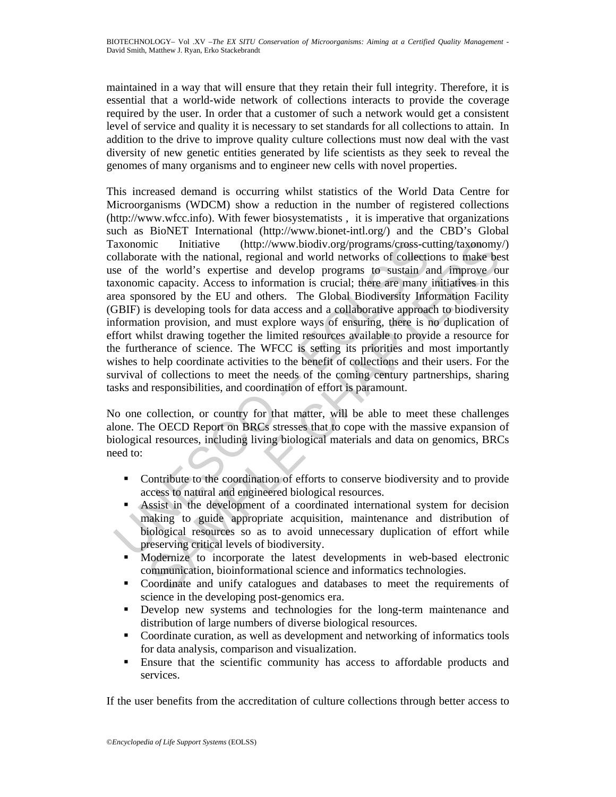maintained in a way that will ensure that they retain their full integrity. Therefore, it is essential that a world-wide network of collections interacts to provide the coverage required by the user. In order that a customer of such a network would get a consistent level of service and quality it is necessary to set standards for all collections to attain. In addition to the drive to improve quality culture collections must now deal with the vast diversity of new genetic entities generated by life scientists as they seek to reveal the genomes of many organisms and to engineer new cells with novel properties.

axonomic Initiative (http://www.biodiv.org/programs/cross-cu-<br>blaborate with the national, regional and world networks of collective<br>sele of the world 's expertise and develop programs to sustinia a<br>xonomic capacity. Acces incitative (http://www.biodiv.org/programs/cross-cutting/taxonomy<br>tect with the national, regional and wordl actworks of collections to make be<br>the world's expertise and develop programs to sustain and improve ou<br>ic capaci This increased demand is occurring whilst statistics of the World Data Centre for Microorganisms (WDCM) show a reduction in the number of registered collections (http://www.wfcc.info). With fewer biosystematists , it is imperative that organizations such as BioNET International (http://www.bionet-intl.org/) and the CBD's Global Taxonomic Initiative (http://www.biodiv.org/programs/cross-cutting/taxonomy/) collaborate with the national, regional and world networks of collections to make best use of the world's expertise and develop programs to sustain and improve our taxonomic capacity. Access to information is crucial; there are many initiatives in this area sponsored by the EU and others. The Global Biodiversity Information Facility (GBIF) is developing tools for data access and a collaborative approach to biodiversity information provision, and must explore ways of ensuring, there is no duplication of effort whilst drawing together the limited resources available to provide a resource for the furtherance of science. The WFCC is setting its priorities and most importantly wishes to help coordinate activities to the benefit of collections and their users. For the survival of collections to meet the needs of the coming century partnerships, sharing tasks and responsibilities, and coordination of effort is paramount.

No one collection, or country for that matter, will be able to meet these challenges alone. The OECD Report on BRCs stresses that to cope with the massive expansion of biological resources, including living biological materials and data on genomics, BRCs need to:

- Contribute to the coordination of efforts to conserve biodiversity and to provide access to natural and engineered biological resources.
- Assist in the development of a coordinated international system for decision making to guide appropriate acquisition, maintenance and distribution of biological resources so as to avoid unnecessary duplication of effort while preserving critical levels of biodiversity.
- Modernize to incorporate the latest developments in web-based electronic communication, bioinformational science and informatics technologies.
- Coordinate and unify catalogues and databases to meet the requirements of science in the developing post-genomics era.
- Develop new systems and technologies for the long-term maintenance and distribution of large numbers of diverse biological resources.
- Coordinate curation, as well as development and networking of informatics tools for data analysis, comparison and visualization.
- Ensure that the scientific community has access to affordable products and services.

If the user benefits from the accreditation of culture collections through better access to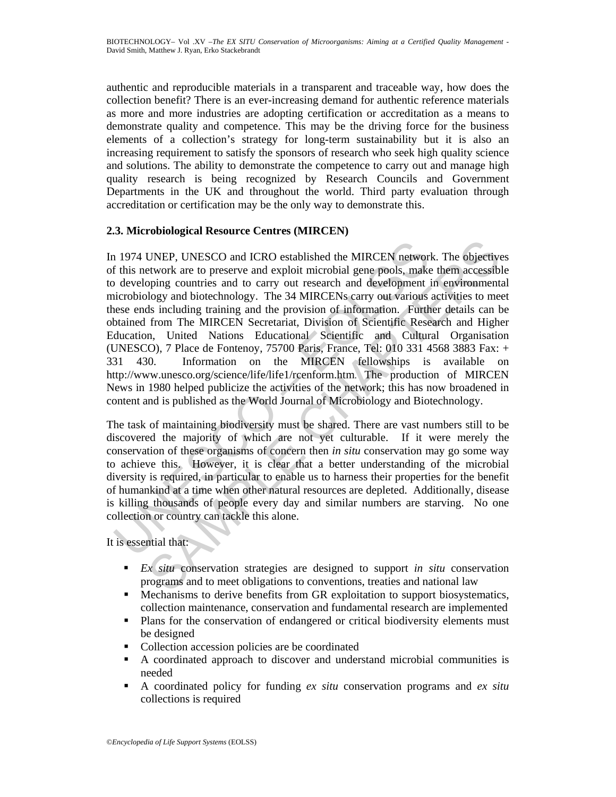authentic and reproducible materials in a transparent and traceable way, how does the collection benefit? There is an ever-increasing demand for authentic reference materials as more and more industries are adopting certification or accreditation as a means to demonstrate quality and competence. This may be the driving force for the business elements of a collection's strategy for long-term sustainability but it is also an increasing requirement to satisfy the sponsors of research who seek high quality science and solutions. The ability to demonstrate the competence to carry out and manage high quality research is being recognized by Research Councils and Government Departments in the UK and throughout the world. Third party evaluation through accreditation or certification may be the only way to demonstrate this.

### **2.3. Microbiological Resource Centres (MIRCEN)**

1974 UNEP, UNESCO and ICRO established the MIRCEN networ<br>
f this network are to preserve and exploit microbial gene pools, make<br>
developing countries and to carry out research and development<br>
icircobiology and biotechnolo UNEP, UNESCO and ICRO established the MIRCEN network. The objective<br>twork are to preserve and exploit microbial gene pools, make them accessibly<br>ping countries and to carry out research and development in environment<br>logy In 1974 UNEP, UNESCO and ICRO established the MIRCEN network. The objectives of this network are to preserve and exploit microbial gene pools, make them accessible to developing countries and to carry out research and development in environmental microbiology and biotechnology. The 34 MIRCENs carry out various activities to meet these ends including training and the provision of information. Further details can be obtained from The MIRCEN Secretariat, Division of Scientific Research and Higher Education, United Nations Educational Scientific and Cultural Organisation (UNESCO), 7 Place de Fontenoy, 75700 Paris, France, Tel: 010 331 4568 3883 Fax: + 331 430. Information on the MIRCEN fellowships is available on http://www.unesco.org/science/life/life1/rcenform.htm. The production of MIRCEN News in 1980 helped publicize the activities of the network; this has now broadened in content and is published as the World Journal of Microbiology and Biotechnology.

The task of maintaining biodiversity must be shared. There are vast numbers still to be discovered the majority of which are not yet culturable. If it were merely the conservation of these organisms of concern then *in situ* conservation may go some way to achieve this. However, it is clear that a better understanding of the microbial diversity is required, in particular to enable us to harness their properties for the benefit of humankind at a time when other natural resources are depleted. Additionally, disease is killing thousands of people every day and similar numbers are starving. No one collection or country can tackle this alone.

It is essential that:

- *Ex situ* conservation strategies are designed to support *in situ* conservation programs and to meet obligations to conventions, treaties and national law
- Mechanisms to derive benefits from GR exploitation to support biosystematics, collection maintenance, conservation and fundamental research are implemented
- Plans for the conservation of endangered or critical biodiversity elements must be designed
- Collection accession policies are be coordinated
- A coordinated approach to discover and understand microbial communities is needed
- A coordinated policy for funding *ex situ* conservation programs and *ex situ* collections is required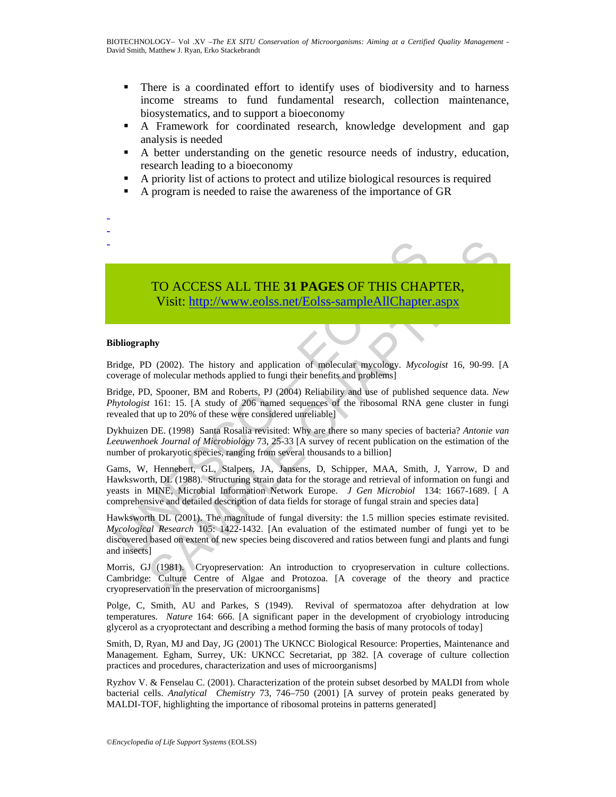- There is a coordinated effort to identify uses of biodiversity and to harness income streams to fund fundamental research, collection maintenance, biosystematics, and to support a bioeconomy
- A Framework for coordinated research, knowledge development and gap analysis is needed
- A better understanding on the genetic resource needs of industry, education, research leading to a bioeconomy
- A priority list of actions to protect and utilize biological resources is required
- A program is needed to raise the awareness of the importance of GR



# TO ACCESS ALL THE **31 PAGES** OF THIS CHAPTER, Visit: http://www.eolss.net/Eolss-sampleAllChapter.aspx

#### **Bibliography**

- - -

Bridge, PD (2002). The history and application of molecular mycology. *Mycologist* 16, 90-99. [A coverage of molecular methods applied to fungi their benefits and problems]

Bridge, PD, Spooner, BM and Roberts, PJ (2004) Reliability and use of published sequence data. *New Phytologist* 161: 15. [A study of 206 named sequences of the ribosomal RNA gene cluster in fungi revealed that up to 20% of these were considered unreliable]

Dykhuizen DE. (1998) Santa Rosalia revisited: Why are there so many species of bacteria? *Antonie van Leeuwenhoek Journal of Microbiology* 73, 25-33 [A survey of recent publication on the estimation of the number of prokaryotic species, ranging from several thousands to a billion]

TO ACCESS ALL THE 31 PAGES OF THIS CHA<br>Visit: http://www.colss.net/Eolss-sampleAllChapter<br>ibliography<br>indige, PD (2002). The history and application of molecular mycology. Mycoloverage of molecular methods applied to fungi **TO ACCESS ALL THE 31 PAGES OF THIS CHAP[TER](https://www.eolss.net/ebooklib/sc_cart.aspx?File=E6-58-13-04),**<br>Visit: http://www.eclss.net/Eolss-sampleAllChapter.aspx<br>by<br>phy<br>phy<br>cological compare that the product methods applied to fungitheric of molecular methods applied to fungitheir Gams, W, Hennebert, GL, Stalpers, JA, Jansens, D, Schipper, MAA, Smith, J, Yarrow, D and Hawksworth, DL (1988). Structuring strain data for the storage and retrieval of information on fungi and yeasts in MINE, Microbial Information Network Europe. *J Gen Microbiol* 134: 1667-1689. [ A comprehensive and detailed description of data fields for storage of fungal strain and species data]

Hawksworth DL (2001). The magnitude of fungal diversity: the 1.5 million species estimate revisited. *Mycological Research* 105: 1422-1432. [An evaluation of the estimated number of fungi yet to be discovered based on extent of new species being discovered and ratios between fungi and plants and fungi and insects]

Morris, GJ (1981). Cryopreservation: An introduction to cryopreservation in culture collections. Cambridge: Culture Centre of Algae and Protozoa. [A coverage of the theory and practice cryopreservation in the preservation of microorganisms]

Polge, C, Smith, AU and Parkes, S (1949). Revival of spermatozoa after dehydration at low temperatures. *Nature* 164: 666. [A significant paper in the development of cryobiology introducing glycerol as a cryoprotectant and describing a method forming the basis of many protocols of today]

Smith, D, Ryan, MJ and Day, JG (2001) The UKNCC Biological Resource: Properties, Maintenance and Management. Egham, Surrey, UK: UKNCC Secretariat, pp 382. [A coverage of culture collection practices and procedures, characterization and uses of microorganisms]

Ryzhov V. & Fenselau C. (2001). Characterization of the protein subset desorbed by MALDI from whole bacterial cells. *Analytical Chemistry* 73, 746–750 (2001) [A survey of protein peaks generated by MALDI-TOF, highlighting the importance of ribosomal proteins in patterns generated]